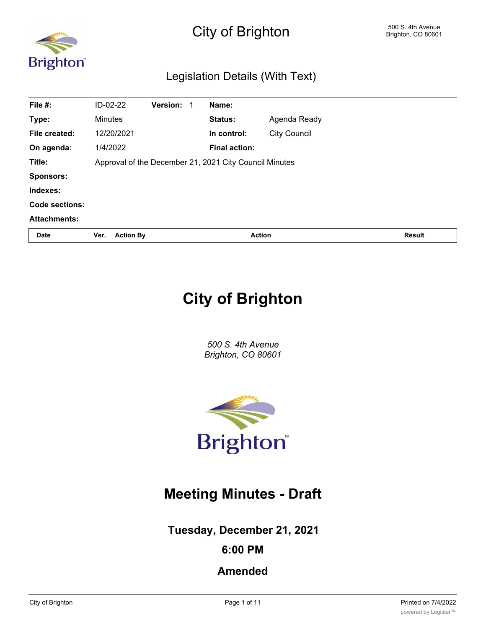

# City of Brighton 500 S. 4th Avenue Brighton, CO 80601

# Legislation Details (With Text)

| File #:             | ID-02-22                                               | Version: |  | Name:                |                     |               |
|---------------------|--------------------------------------------------------|----------|--|----------------------|---------------------|---------------|
| Type:               | <b>Minutes</b>                                         |          |  | Status:              | Agenda Ready        |               |
| File created:       | 12/20/2021                                             |          |  | In control:          | <b>City Council</b> |               |
| On agenda:          | 1/4/2022                                               |          |  | <b>Final action:</b> |                     |               |
| Title:              | Approval of the December 21, 2021 City Council Minutes |          |  |                      |                     |               |
| <b>Sponsors:</b>    |                                                        |          |  |                      |                     |               |
| Indexes:            |                                                        |          |  |                      |                     |               |
| Code sections:      |                                                        |          |  |                      |                     |               |
| <b>Attachments:</b> |                                                        |          |  |                      |                     |               |
| Date                | <b>Action By</b><br>Ver.                               |          |  | <b>Action</b>        |                     | <b>Result</b> |

# **City of Brighton**

*500 S. 4th Avenue Brighton, CO 80601*



# **Meeting Minutes - Draft**

**Tuesday, December 21, 2021**

## **6:00 PM**

# **Amended**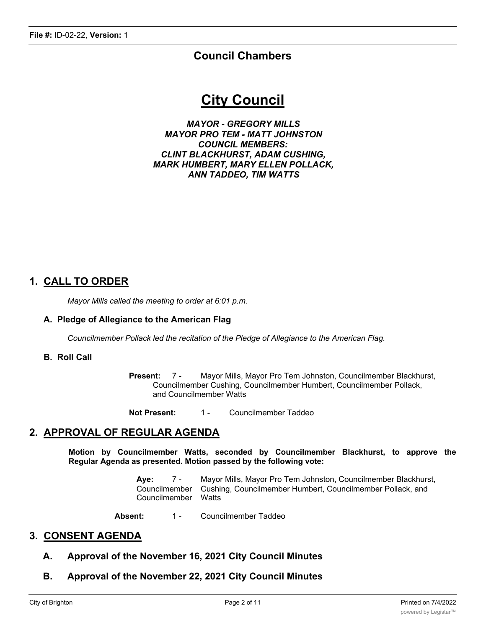### **Council Chambers**

# **City Council**

*MAYOR - GREGORY MILLS MAYOR PRO TEM - MATT JOHNSTON COUNCIL MEMBERS: CLINT BLACKHURST, ADAM CUSHING, MARK HUMBERT, MARY ELLEN POLLACK, ANN TADDEO, TIM WATTS*

### **1. CALL TO ORDER**

*Mayor Mills called the meeting to order at 6:01 p.m.*

#### **A. Pledge of Allegiance to the American Flag**

*Councilmember Pollack led the recitation of the Pledge of Allegiance to the American Flag.*

#### **B. Roll Call**

**Present:** 7 - Mayor Mills, Mayor Pro Tem Johnston, Councilmember Blackhurst, Councilmember Cushing, Councilmember Humbert, Councilmember Pollack, and Councilmember Watts

**Not Present:** 1 - Councilmember Taddeo

#### **2. APPROVAL OF REGULAR AGENDA**

**Motion by Councilmember Watts, seconded by Councilmember Blackhurst, to approve the Regular Agenda as presented. Motion passed by the following vote:**

> **Aye:** 7 - Mayor Mills, Mayor Pro Tem Johnston, Councilmember Blackhurst, Councilmember Cushing, Councilmember Humbert, Councilmember Pollack, and Councilmember Watts

Absent: 1 - Councilmember Taddeo

#### **3. CONSENT AGENDA**

- **A. Approval of the November 16, 2021 City Council Minutes**
- **B. Approval of the November 22, 2021 City Council Minutes**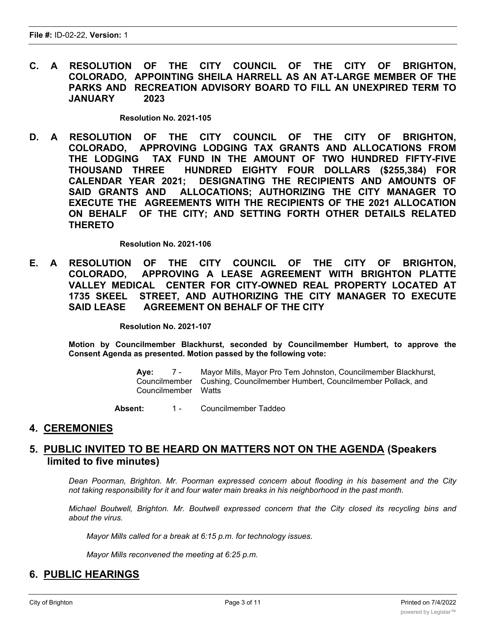**C. A RESOLUTION OF THE CITY COUNCIL OF THE CITY OF BRIGHTON, COLORADO, APPOINTING SHEILA HARRELL AS AN AT-LARGE MEMBER OF THE PARKS AND RECREATION ADVISORY BOARD TO FILL AN UNEXPIRED TERM TO JANUARY 2023**

**Resolution No. 2021-105**

**D. A RESOLUTION OF THE CITY COUNCIL OF THE CITY OF BRIGHTON, COLORADO, APPROVING LODGING TAX GRANTS AND ALLOCATIONS FROM THE LODGING TAX FUND IN THE AMOUNT OF TWO HUNDRED FIFTY-FIVE THOUSAND THREE HUNDRED EIGHTY FOUR DOLLARS (\$255,384) FOR CALENDAR YEAR 2021; DESIGNATING THE RECIPIENTS AND AMOUNTS OF SAID GRANTS AND ALLOCATIONS; AUTHORIZING THE CITY MANAGER TO EXECUTE THE AGREEMENTS WITH THE RECIPIENTS OF THE 2021 ALLOCATION ON BEHALF OF THE CITY; AND SETTING FORTH OTHER DETAILS RELATED THERETO**

**Resolution No. 2021-106**

**E. A RESOLUTION OF THE CITY COUNCIL OF THE CITY OF BRIGHTON, COLORADO, APPROVING A LEASE AGREEMENT WITH BRIGHTON PLATTE VALLEY MEDICAL CENTER FOR CITY-OWNED REAL PROPERTY LOCATED AT 1735 SKEEL STREET, AND AUTHORIZING THE CITY MANAGER TO EXECUTE SAID LEASE AGREEMENT ON BEHALF OF THE CITY**

**Resolution No. 2021-107**

**Motion by Councilmember Blackhurst, seconded by Councilmember Humbert, to approve the Consent Agenda as presented. Motion passed by the following vote:**

> **Aye:** 7 - Mayor Mills, Mayor Pro Tem Johnston, Councilmember Blackhurst, Councilmember Cushing, Councilmember Humbert, Councilmember Pollack, and Councilmember Watts

**Absent:** 1 - Councilmember Taddeo

#### **4. CEREMONIES**

#### **5. PUBLIC INVITED TO BE HEARD ON MATTERS NOT ON THE AGENDA (Speakers limited to five minutes)**

*Dean Poorman, Brighton. Mr. Poorman expressed concern about flooding in his basement and the City not taking responsibility for it and four water main breaks in his neighborhood in the past month.*

*Michael Boutwell, Brighton. Mr. Boutwell expressed concern that the City closed its recycling bins and about the virus.*

*Mayor Mills called for a break at 6:15 p.m. for technology issues.*

*Mayor Mills reconvened the meeting at 6:25 p.m.*

### **6. PUBLIC HEARINGS**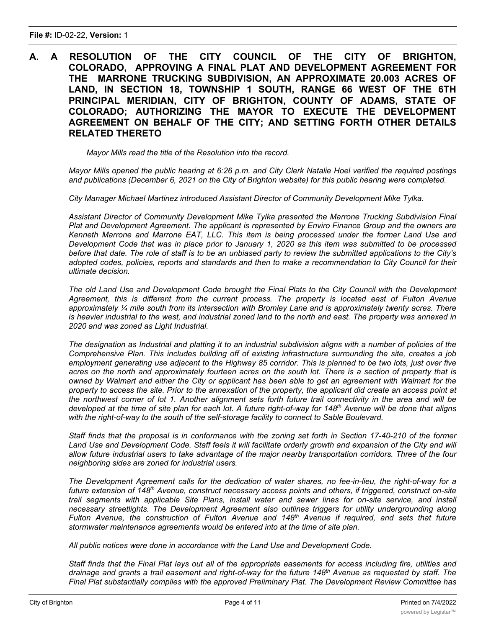#### **A. A RESOLUTION OF THE CITY COUNCIL OF THE CITY OF BRIGHTON, COLORADO, APPROVING A FINAL PLAT AND DEVELOPMENT AGREEMENT FOR THE MARRONE TRUCKING SUBDIVISION, AN APPROXIMATE 20.003 ACRES OF LAND, IN SECTION 18, TOWNSHIP 1 SOUTH, RANGE 66 WEST OF THE 6TH PRINCIPAL MERIDIAN, CITY OF BRIGHTON, COUNTY OF ADAMS, STATE OF COLORADO; AUTHORIZING THE MAYOR TO EXECUTE THE DEVELOPMENT AGREEMENT ON BEHALF OF THE CITY; AND SETTING FORTH OTHER DETAILS RELATED THERETO**

*Mayor Mills read the title of the Resolution into the record.*

Mayor Mills opened the public hearing at 6:26 p.m. and City Clerk Natalie Hoel verified the required postings *and publications (December 6, 2021 on the City of Brighton website) for this public hearing were completed.*

*City Manager Michael Martinez introduced Assistant Director of Community Development Mike Tylka.*

*Assistant Director of Community Development Mike Tylka presented the Marrone Trucking Subdivision Final Plat and Development Agreement. The applicant is represented by Enviro Finance Group and the owners are Kenneth Marrone and Marrone EAT, LLC. This item is being processed under the former Land Use and* Development Code that was in place prior to January 1, 2020 as this item was submitted to be processed before that date. The role of staff is to be an unbiased party to review the submitted applications to the City's adopted codes, policies, reports and standards and then to make a recommendation to City Council for their *ultimate decision.*

The old Land Use and Development Code brought the Final Plats to the City Council with the Development *Agreement, this is different from the current process. The property is located east of Fulton Avenue approximately ¼ mile south from its intersection with Bromley Lane and is approximately twenty acres. There* is heavier industrial to the west, and industrial zoned land to the north and east. The property was annexed in *2020 and was zoned as Light Industrial.*

The designation as Industrial and platting it to an industrial subdivision aligns with a number of policies of the *Comprehensive Plan. This includes building off of existing infrastructure surrounding the site, creates a job* employment generating use adjacent to the Highway 85 corridor. This is planned to be two lots, just over five acres on the north and approximately fourteen acres on the south lot. There is a section of property that is owned by Walmart and either the City or applicant has been able to get an agreement with Walmart for the property to access the site. Prior to the annexation of the property, the applicant did create an access point at the northwest corner of lot 1. Another alignment sets forth future trail connectivity in the area and will be developed at the time of site plan for each lot. A future right-of-way for 148<sup>th</sup> Avenue will be done that aligns *with the right-of-way to the south of the self-storage facility to connect to Sable Boulevard.*

Staff finds that the proposal is in conformance with the zoning set forth in Section 17-40-210 of the former Land Use and Development Code. Staff feels it will facilitate orderly growth and expansion of the City and will allow future industrial users to take advantage of the major nearby transportation corridors. Three of the four *neighboring sides are zoned for industrial users.*

*The Development Agreement calls for the dedication of water shares, no fee-in-lieu, the right-of-way for a future extension of 148th Avenue, construct necessary access points and others, if triggered, construct on-site trail segments with applicable Site Plans, install water and sewer lines for on-site service, and install necessary streetlights. The Development Agreement also outlines triggers for utility undergrounding along Fulton Avenue, the construction of Fulton Avenue and 148th Avenue if required, and sets that future stormwater maintenance agreements would be entered into at the time of site plan.*

*All public notices were done in accordance with the Land Use and Development Code.*

Staff finds that the Final Plat lays out all of the appropriate easements for access including fire, utilities and drainage and grants a trail easement and right-of-way for the future 148<sup>th</sup> Avenue as requested by staff. The *Final Plat substantially complies with the approved Preliminary Plat. The Development Review Committee has*

,我们也不会有什么。""我们的人,我们也不会有什么?""我们的人,我们也不会有什么?""我们的人,我们也不会有什么?""我们的人,我们也不会有什么?""我们的人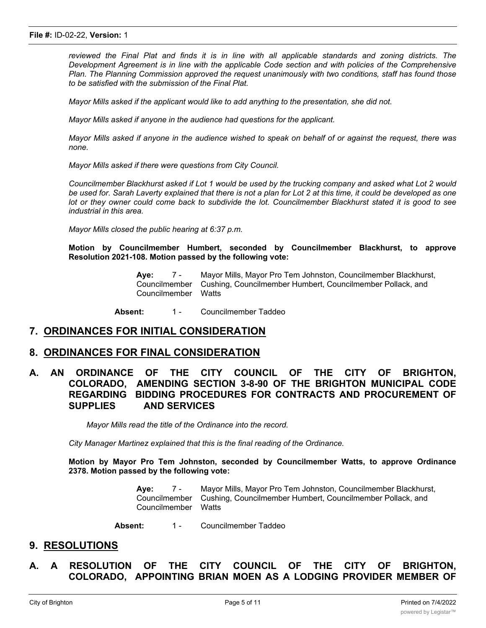reviewed the Final Plat and finds it is in line with all applicable standards and zoning districts. The *Development Agreement is in line with the applicable Code section and with policies of the Comprehensive Plan. The Planning Commission approved the request unanimously with two conditions, staff has found those to be satisfied with the submission of the Final Plat.*

*Mayor Mills asked if the applicant would like to add anything to the presentation, she did not.*

*Mayor Mills asked if anyone in the audience had questions for the applicant.*

Mayor Mills asked if anyone in the audience wished to speak on behalf of or against the request, there was *none.*

*Mayor Mills asked if there were questions from City Council.*

Councilmember Blackhurst asked if Lot 1 would be used by the trucking company and asked what Lot 2 would be used for. Sarah Laverty explained that there is not a plan for Lot 2 at this time, it could be developed as one lot or they owner could come back to subdivide the lot. Councilmember Blackhurst stated it is good to see *industrial in this area.*

*Mayor Mills closed the public hearing at 6:37 p.m.*

**Motion by Councilmember Humbert, seconded by Councilmember Blackhurst, to approve Resolution 2021-108. Motion passed by the following vote:**

> **Aye:** 7 - Mayor Mills, Mayor Pro Tem Johnston, Councilmember Blackhurst, Councilmember Cushing, Councilmember Humbert, Councilmember Pollack, and Councilmember Watts

Absent: 1 - Councilmember Taddeo

#### **7. ORDINANCES FOR INITIAL CONSIDERATION**

#### **8. ORDINANCES FOR FINAL CONSIDERATION**

#### **A. AN ORDINANCE OF THE CITY COUNCIL OF THE CITY OF BRIGHTON, COLORADO, AMENDING SECTION 3-8-90 OF THE BRIGHTON MUNICIPAL CODE REGARDING BIDDING PROCEDURES FOR CONTRACTS AND PROCUREMENT OF SUPPLIES AND SERVICES**

*Mayor Mills read the title of the Ordinance into the record.*

*City Manager Martinez explained that this is the final reading of the Ordinance.*

**Motion by Mayor Pro Tem Johnston, seconded by Councilmember Watts, to approve Ordinance 2378. Motion passed by the following vote:**

> **Aye:** 7 - Mayor Mills, Mayor Pro Tem Johnston, Councilmember Blackhurst, Councilmember Cushing, Councilmember Humbert, Councilmember Pollack, and Councilmember Watts

Absent: 1 - Councilmember Taddeo

#### **9. RESOLUTIONS**

**A. A RESOLUTION OF THE CITY COUNCIL OF THE CITY OF BRIGHTON, COLORADO, APPOINTING BRIAN MOEN AS A LODGING PROVIDER MEMBER OF**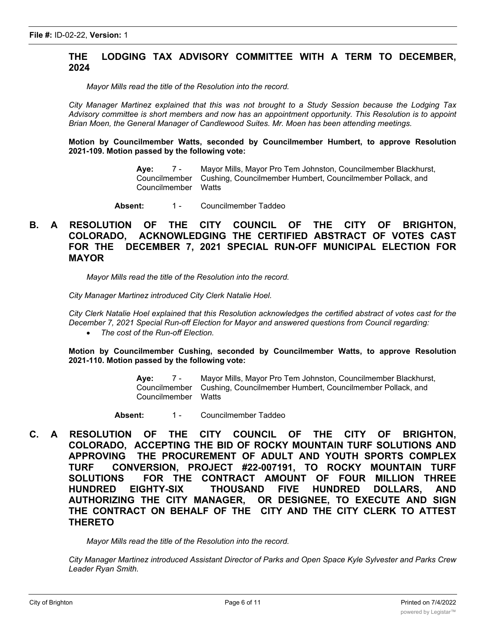#### **THE LODGING TAX ADVISORY COMMITTEE WITH A TERM TO DECEMBER, 2024**

*Mayor Mills read the title of the Resolution into the record.*

*City Manager Martinez explained that this was not brought to a Study Session because the Lodging Tax Advisory committee is short members and now has an appointment opportunity. This Resolution is to appoint Brian Moen, the General Manager of Candlewood Suites. Mr. Moen has been attending meetings.*

**Motion by Councilmember Watts, seconded by Councilmember Humbert, to approve Resolution 2021-109. Motion passed by the following vote:**

> **Aye:** 7 - Mayor Mills, Mayor Pro Tem Johnston, Councilmember Blackhurst, Councilmember Cushing, Councilmember Humbert, Councilmember Pollack, and Councilmember

Absent: 1 - Councilmember Taddeo

#### **B. A RESOLUTION OF THE CITY COUNCIL OF THE CITY OF BRIGHTON, COLORADO, ACKNOWLEDGING THE CERTIFIED ABSTRACT OF VOTES CAST FOR THE DECEMBER 7, 2021 SPECIAL RUN-OFF MUNICIPAL ELECTION FOR MAYOR**

*Mayor Mills read the title of the Resolution into the record.*

*City Manager Martinez introduced City Clerk Natalie Hoel.*

City Clerk Natalie Hoel explained that this Resolution acknowledges the certified abstract of votes cast for the *December 7, 2021 Special Run-off Election for Mayor and answered questions from Council regarding:*

· *The cost of the Run-off Election.*

**Motion by Councilmember Cushing, seconded by Councilmember Watts, to approve Resolution 2021-110. Motion passed by the following vote:**

> **Aye:** 7 - Mayor Mills, Mayor Pro Tem Johnston, Councilmember Blackhurst, Councilmember Cushing, Councilmember Humbert, Councilmember Pollack, and Councilmember

Absent: 1 - Councilmember Taddeo

**C. A RESOLUTION OF THE CITY COUNCIL OF THE CITY OF BRIGHTON, COLORADO, ACCEPTING THE BID OF ROCKY MOUNTAIN TURF SOLUTIONS AND APPROVING THE PROCUREMENT OF ADULT AND YOUTH SPORTS COMPLEX TURF CONVERSION, PROJECT #22-007191, TO ROCKY MOUNTAIN TURF SOLUTIONS FOR THE CONTRACT AMOUNT OF FOUR MILLION THREE HUNDRED EIGHTY-SIX THOUSAND FIVE HUNDRED DOLLARS, AND AUTHORIZING THE CITY MANAGER, OR DESIGNEE, TO EXECUTE AND SIGN THE CONTRACT ON BEHALF OF THE CITY AND THE CITY CLERK TO ATTEST THERETO**

*Mayor Mills read the title of the Resolution into the record.*

*City Manager Martinez introduced Assistant Director of Parks and Open Space Kyle Sylvester and Parks Crew Leader Ryan Smith.*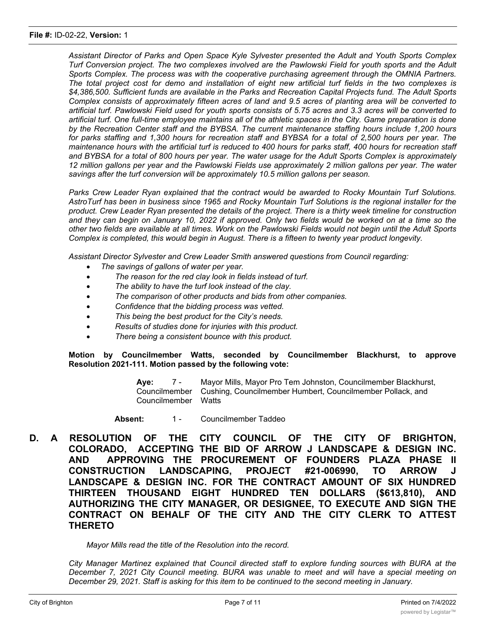#### **File #:** ID-02-22, **Version:** 1

*Assistant Director of Parks and Open Space Kyle Sylvester presented the Adult and Youth Sports Complex* Turf Conversion project. The two complexes involved are the Pawlowski Field for vouth sports and the Adult *Sports Complex. The process was with the cooperative purchasing agreement through the OMNIA Partners.* The total project cost for demo and installation of eight new artificial turf fields in the two complexes is *\$4,386,500. Sufficient funds are available in the Parks and Recreation Capital Projects fund. The Adult Sports* Complex consists of approximately fifteen acres of land and 9.5 acres of planting area will be converted to artificial turf. Pawlowski Field used for youth sports consists of 5.75 acres and 3.3 acres will be converted to artificial turf. One full-time emplovee maintains all of the athletic spaces in the City. Game preparation is done *by the Recreation Center staff and the BYBSA. The current maintenance staffing hours include 1,200 hours* for parks staffing and 1.300 hours for recreation staff and BYBSA for a total of 2.500 hours per year. The maintenance hours with the artificial turf is reduced to 400 hours for parks staff, 400 hours for recreation staff and BYBSA for a total of 800 hours per year. The water usage for the Adult Sports Complex is approximately 12 million gallons per year and the Pawlowski Fields use approximately 2 million gallons per year. The water *savings after the turf conversion will be approximately 10.5 million gallons per season.*

*Parks Crew Leader Ryan explained that the contract would be awarded to Rocky Mountain Turf Solutions.* AstroTurf has been in business since 1965 and Rocky Mountain Turf Solutions is the regional installer for the product. Crew Leader Ryan presented the details of the project. There is a thirty week timeline for construction and they can begin on January 10, 2022 if approved. Only two fields would be worked on at a time so the other two fields are available at all times. Work on the Pawlowski Fields would not begin until the Adult Sports *Complex is completed, this would begin in August. There is a fifteen to twenty year product longevity.*

*Assistant Director Sylvester and Crew Leader Smith answered questions from Council regarding:*

- · *The savings of gallons of water per year.*
- · *The reason for the red clay look in fields instead of turf.*
- · *The ability to have the turf look instead of the clay.*
- · *The comparison of other products and bids from other companies.*
- · *Confidence that the bidding process was vetted.*
- · *This being the best product for the City's needs.*
- · *Results of studies done for injuries with this product.*
- · *There being a consistent bounce with this product.*

**Motion by Councilmember Watts, seconded by Councilmember Blackhurst, to approve Resolution 2021-111. Motion passed by the following vote:**

> **Aye:** 7 - Mayor Mills, Mayor Pro Tem Johnston, Councilmember Blackhurst, Councilmember Cushing, Councilmember Humbert, Councilmember Pollack, and Councilmember Watts

Absent: 1 - Councilmember Taddeo

**D. A RESOLUTION OF THE CITY COUNCIL OF THE CITY OF BRIGHTON, COLORADO, ACCEPTING THE BID OF ARROW J LANDSCAPE & DESIGN INC. AND APPROVING THE PROCUREMENT OF FOUNDERS PLAZA PHASE II CONSTRUCTION LANDSCAPING, PROJECT #21-006990, TO ARROW J LANDSCAPE & DESIGN INC. FOR THE CONTRACT AMOUNT OF SIX HUNDRED THIRTEEN THOUSAND EIGHT HUNDRED TEN DOLLARS (\$613,810), AND AUTHORIZING THE CITY MANAGER, OR DESIGNEE, TO EXECUTE AND SIGN THE CONTRACT ON BEHALF OF THE CITY AND THE CITY CLERK TO ATTEST THERETO**

*Mayor Mills read the title of the Resolution into the record.*

*City Manager Martinez explained that Council directed staff to explore funding sources with BURA at the December 7, 2021 City Council meeting. BURA was unable to meet and will have a special meeting on December 29, 2021. Staff is asking for this item to be continued to the second meeting in January.*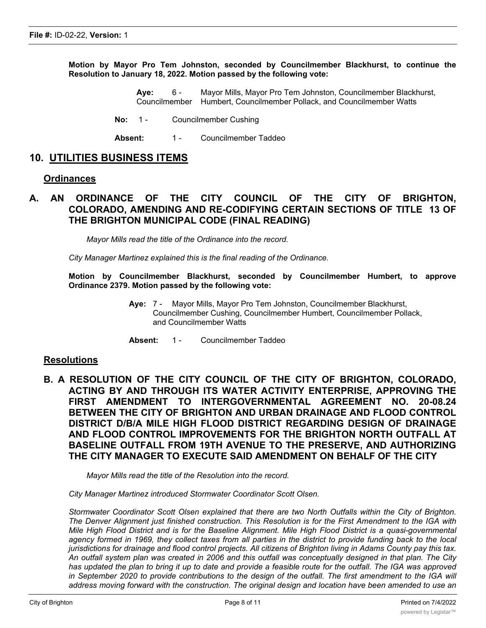**Motion by Mayor Pro Tem Johnston, seconded by Councilmember Blackhurst, to continue the Resolution to January 18, 2022. Motion passed by the following vote:**

- **Aye:** 6 Mayor Mills, Mayor Pro Tem Johnston, Councilmember Blackhurst, Councilmember Humbert, Councilmember Pollack, and Councilmember Watts
- **No:** 1 Councilmember Cushing
- Absent: 1 Councilmember Taddeo

#### **10. UTILITIES BUSINESS ITEMS**

#### **Ordinances**

#### **A. AN ORDINANCE OF THE CITY COUNCIL OF THE CITY OF BRIGHTON, COLORADO, AMENDING AND RE-CODIFYING CERTAIN SECTIONS OF TITLE 13 OF THE BRIGHTON MUNICIPAL CODE (FINAL READING)**

*Mayor Mills read the title of the Ordinance into the record.*

*City Manager Martinez explained this is the final reading of the Ordinance.*

**Motion by Councilmember Blackhurst, seconded by Councilmember Humbert, to approve Ordinance 2379. Motion passed by the following vote:**

- **Aye:** 7 Mayor Mills, Mayor Pro Tem Johnston, Councilmember Blackhurst, Councilmember Cushing, Councilmember Humbert, Councilmember Pollack, and Councilmember Watts
- Absent: 1 Councilmember Taddeo

#### **Resolutions**

**B. A RESOLUTION OF THE CITY COUNCIL OF THE CITY OF BRIGHTON, COLORADO, ACTING BY AND THROUGH ITS WATER ACTIVITY ENTERPRISE, APPROVING THE FIRST AMENDMENT TO INTERGOVERNMENTAL AGREEMENT NO. 20-08.24 BETWEEN THE CITY OF BRIGHTON AND URBAN DRAINAGE AND FLOOD CONTROL DISTRICT D/B/A MILE HIGH FLOOD DISTRICT REGARDING DESIGN OF DRAINAGE AND FLOOD CONTROL IMPROVEMENTS FOR THE BRIGHTON NORTH OUTFALL AT BASELINE OUTFALL FROM 19TH AVENUE TO THE PRESERVE, AND AUTHORIZING THE CITY MANAGER TO EXECUTE SAID AMENDMENT ON BEHALF OF THE CITY**

*Mayor Mills read the title of the Resolution into the record.*

*City Manager Martinez introduced Stormwater Coordinator Scott Olsen.*

*Stormwater Coordinator Scott Olsen explained that there are two North Outfalls within the City of Brighton.* The Denver Alignment just finished construction. This Resolution is for the First Amendment to the IGA with Mile High Flood District and is for the Baseline Alignment. Mile High Flood District is a quasi-governmental agency formed in 1969, they collect taxes from all parties in the district to provide funding back to the local jurisdictions for drainage and flood control projects. All citizens of Brighton living in Adams County pay this tax. An outfall system plan was created in 2006 and this outfall was conceptually designed in that plan. The City has updated the plan to bring it up to date and provide a feasible route for the outfall. The IGA was approved in September 2020 to provide contributions to the design of the outfall. The first amendment to the IGA will address moving forward with the construction. The original design and location have been amended to use an

*open channel conveyance instead of a piped system, this will save money for the City and the development.*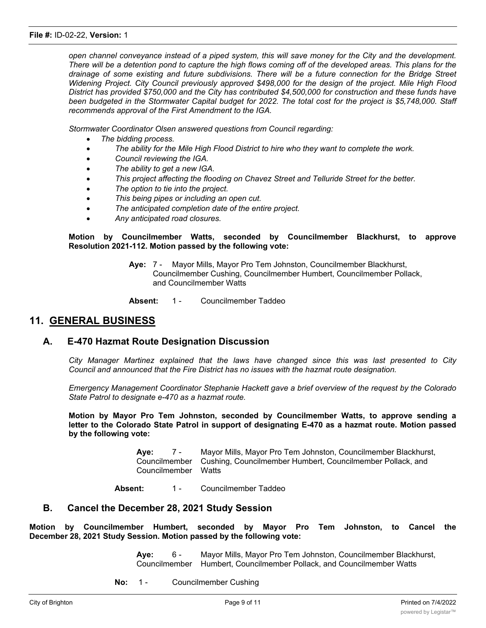open channel conveyance instead of a piped system, this will save money for the City and the development. There will be a detention pond to capture the high flows coming off of the developed areas. This plans for the drainage of some existing and future subdivisions. There will be a future connection for the Bridge Street *Widening Project. City Council previously approved \$498,000 for the design of the project. Mile High Flood District has provided \$750,000 and the City has contributed \$4,500,000 for construction and these funds have* been budgeted in the Stormwater Capital budget for 2022. The total cost for the project is \$5,748,000. Staff *recommends approval of the First Amendment to the IGA.*

*Stormwater Coordinator Olsen answered questions from Council regarding:*

- · *The bidding process.*
- · *The ability for the Mile High Flood District to hire who they want to complete the work.*
- · *Council reviewing the IGA.*
- · *The ability to get a new IGA.*
- · *This project affecting the flooding on Chavez Street and Telluride Street for the better.*
- · *The option to tie into the project.*
- · *This being pipes or including an open cut.*
- · *The anticipated completion date of the entire project.*
- · *Any anticipated road closures.*

**Motion by Councilmember Watts, seconded by Councilmember Blackhurst, to approve Resolution 2021-112. Motion passed by the following vote:**

- **Aye:** 7 Mayor Mills, Mayor Pro Tem Johnston, Councilmember Blackhurst, Councilmember Cushing, Councilmember Humbert, Councilmember Pollack, and Councilmember Watts
- **Absent:** 1 Councilmember Taddeo

#### **11. GENERAL BUSINESS**

#### **A. E-470 Hazmat Route Designation Discussion**

*City Manager Martinez explained that the laws have changed since this was last presented to City Council and announced that the Fire District has no issues with the hazmat route designation.*

*Emergency Management Coordinator Stephanie Hackett gave a brief overview of the request by the Colorado State Patrol to designate e-470 as a hazmat route.*

**Motion by Mayor Pro Tem Johnston, seconded by Councilmember Watts, to approve sending a letter to the Colorado State Patrol in support of designating E-470 as a hazmat route. Motion passed by the following vote:**

> **Aye:** 7 - Mayor Mills, Mayor Pro Tem Johnston, Councilmember Blackhurst, Councilmember Cushing, Councilmember Humbert, Councilmember Pollack, and Councilmember Watts

**Absent:** 1 - Councilmember Taddeo

#### **B. Cancel the December 28, 2021 Study Session**

**Motion by Councilmember Humbert, seconded by Mayor Pro Tem Johnston, to Cancel the December 28, 2021 Study Session. Motion passed by the following vote:**

> **Aye:** 6 - Mayor Mills, Mayor Pro Tem Johnston, Councilmember Blackhurst, Councilmember Humbert, Councilmember Pollack, and Councilmember Watts

**No:** 1 - Councilmember Cushing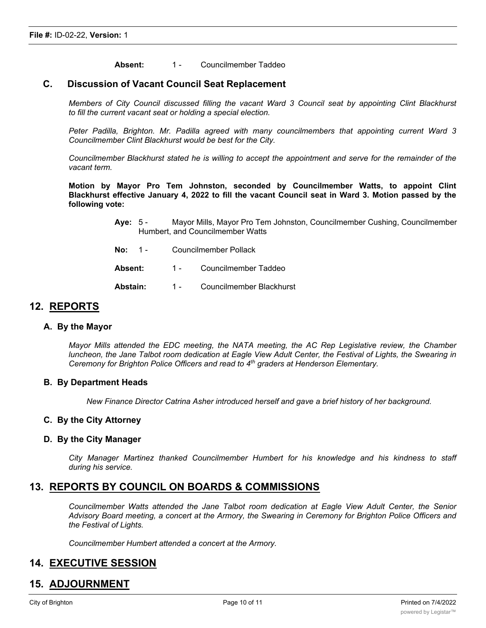Absent: 1 - Councilmember Taddeo

#### **C. Discussion of Vacant Council Seat Replacement**

*Members of City Council discussed filling the vacant Ward 3 Council seat by appointing Clint Blackhurst to fill the current vacant seat or holding a special election.*

*Peter Padilla, Brighton. Mr. Padilla agreed with many councilmembers that appointing current Ward 3 Councilmember Clint Blackhurst would be best for the City.*

Councilmember Blackhurst stated he is willing to accept the appointment and serve for the remainder of the *vacant term.*

**Motion by Mayor Pro Tem Johnston, seconded by Councilmember Watts, to appoint Clint** Blackhurst effective January 4, 2022 to fill the vacant Council seat in Ward 3. Motion passed by the **following vote:**

- **Aye:** 5 Mayor Mills, Mayor Pro Tem Johnston, Councilmember Cushing, Councilmember Humbert, and Councilmember Watts
- **No:** 1 Councilmember Pollack
- Absent: 1 Councilmember Taddeo
- Abstain: 1 Councilmember Blackhurst

#### **12. REPORTS**

#### **A. By the Mayor**

*Mayor Mills attended the EDC meeting, the NATA meeting, the AC Rep Legislative review, the Chamber* luncheon, the Jane Talbot room dedication at Eagle View Adult Center, the Festival of Lights, the Swearing in *Ceremony for Brighton Police Officers and read to 4th graders at Henderson Elementary.*

#### **B. By Department Heads**

*New Finance Director Catrina Asher introduced herself and gave a brief history of her background.*

#### **C. By the City Attorney**

#### **D. By the City Manager**

*City Manager Martinez thanked Councilmember Humbert for his knowledge and his kindness to staff during his service.*

#### **13. REPORTS BY COUNCIL ON BOARDS & COMMISSIONS**

*Councilmember Watts attended the Jane Talbot room dedication at Eagle View Adult Center, the Senior* Advisory Board meeting, a concert at the Armory, the Swearing in Ceremony for Brighton Police Officers and *the Festival of Lights.*

*Councilmember Humbert attended a concert at the Armory.*

#### **14. EXECUTIVE SESSION**

#### **15. ADJOURNMENT**